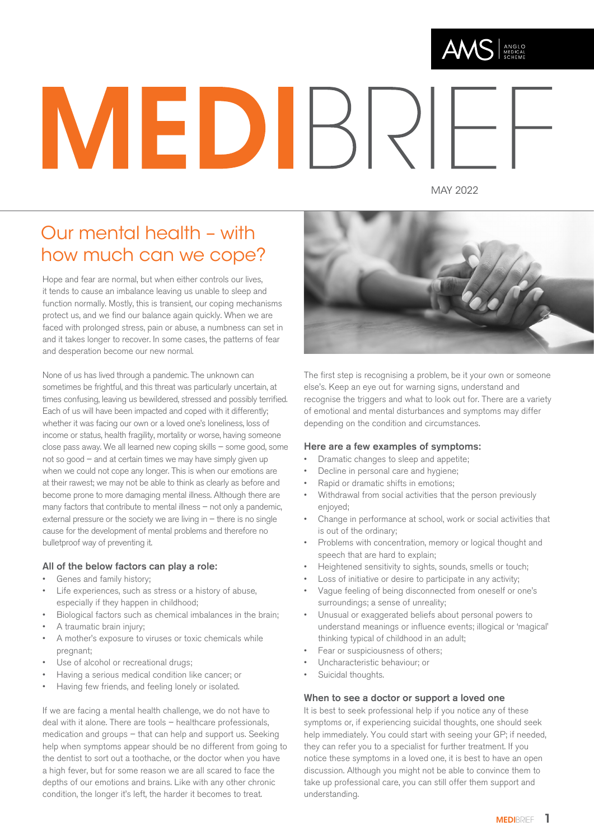

# MEDIR

MAY 2022

# Our mental health – with how much can we cope?

Hope and fear are normal, but when either controls our lives, it tends to cause an imbalance leaving us unable to sleep and function normally. Mostly, this is transient, our coping mechanisms protect us, and we find our balance again quickly. When we are faced with prolonged stress, pain or abuse, a numbness can set in and it takes longer to recover. In some cases, the patterns of fear and desperation become our new normal.

None of us has lived through a pandemic. The unknown can sometimes be frightful, and this threat was particularly uncertain, at times confusing, leaving us bewildered, stressed and possibly terrified. Each of us will have been impacted and coped with it differently; whether it was facing our own or a loved one's loneliness, loss of income or status, health fragility, mortality or worse, having someone close pass away. We all learned new coping skills – some good, some not so good – and at certain times we may have simply given up when we could not cope any longer. This is when our emotions are at their rawest; we may not be able to think as clearly as before and become prone to more damaging mental illness. Although there are many factors that contribute to mental illness – not only a pandemic, external pressure or the society we are living in – there is no single cause for the development of mental problems and therefore no bulletproof way of preventing it.

### All of the below factors can play a role:

- Genes and family history;
- Life experiences, such as stress or a history of abuse, especially if they happen in childhood;
- Biological factors such as chemical imbalances in the brain;
- A traumatic brain injury;
- A mother's exposure to viruses or toxic chemicals while pregnant;
- Use of alcohol or recreational drugs;
- Having a serious medical condition like cancer; or
- Having few friends, and feeling lonely or isolated.

If we are facing a mental health challenge, we do not have to deal with it alone. There are tools – healthcare professionals, medication and groups – that can help and support us. Seeking help when symptoms appear should be no different from going to the dentist to sort out a toothache, or the doctor when you have a high fever, but for some reason we are all scared to face the depths of our emotions and brains. Like with any other chronic condition, the longer it's left, the harder it becomes to treat.



The first step is recognising a problem, be it your own or someone else's. Keep an eye out for warning signs, understand and recognise the triggers and what to look out for. There are a variety of emotional and mental disturbances and symptoms may differ depending on the condition and circumstances.

### Here are a few examples of symptoms:

- Dramatic changes to sleep and appetite;
- Decline in personal care and hygiene;
- Rapid or dramatic shifts in emotions;
- Withdrawal from social activities that the person previously enjoyed;
- Change in performance at school, work or social activities that is out of the ordinary;
- Problems with concentration, memory or logical thought and speech that are hard to explain;
- Heightened sensitivity to sights, sounds, smells or touch;
- Loss of initiative or desire to participate in any activity;
- Vague feeling of being disconnected from oneself or one's surroundings; a sense of unreality;
- Unusual or exaggerated beliefs about personal powers to understand meanings or influence events; illogical or 'magical' thinking typical of childhood in an adult;
- Fear or suspiciousness of others;
- Uncharacteristic behaviour; or
	- Suicidal thoughts.

### When to see a doctor or support a loved one

It is best to seek professional help if you notice any of these symptoms or, if experiencing suicidal thoughts, one should seek help immediately. You could start with seeing your GP; if needed, they can refer you to a specialist for further treatment. If you notice these symptoms in a loved one, it is best to have an open discussion. Although you might not be able to convince them to take up professional care, you can still offer them support and understanding.